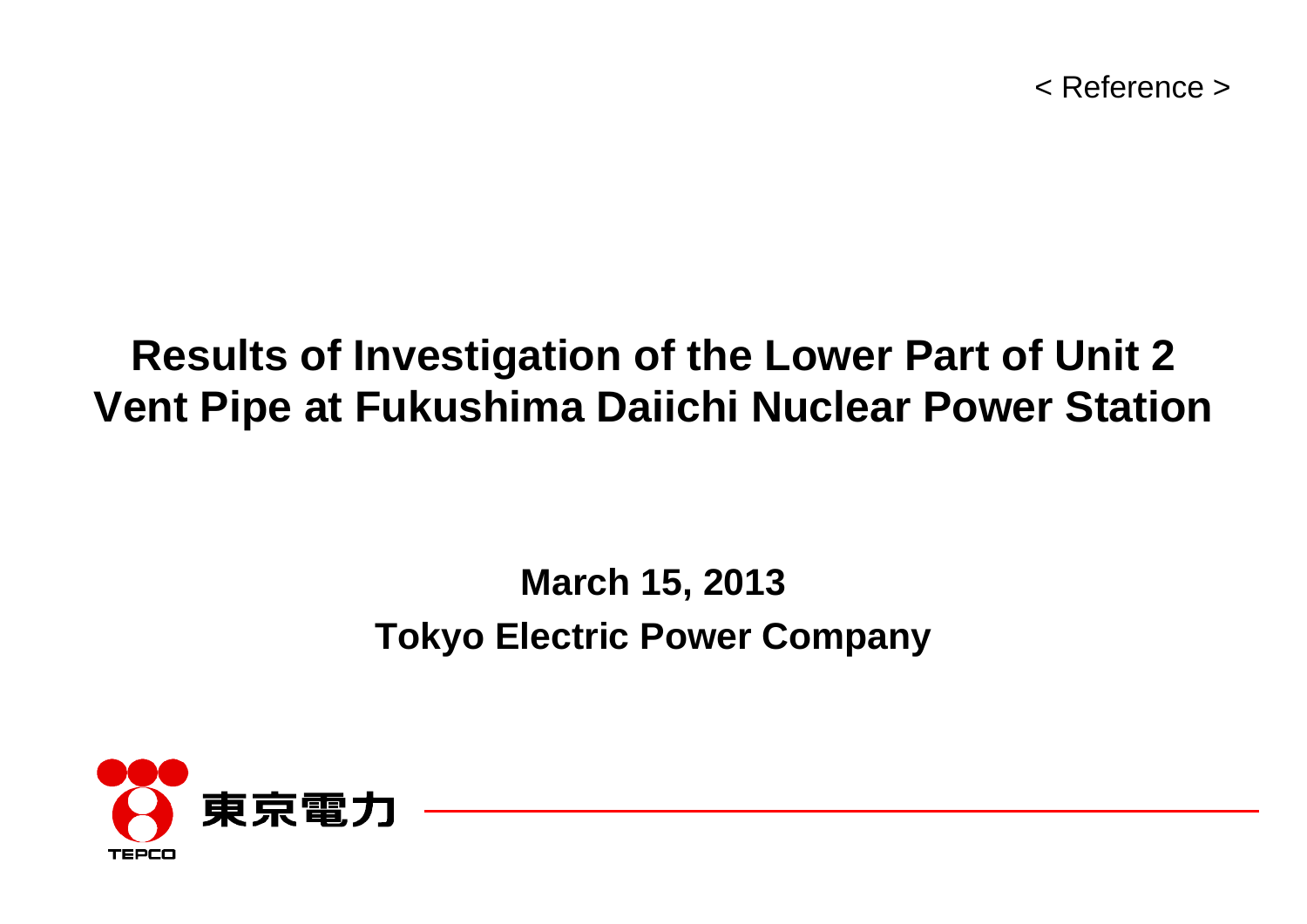< Reference >

# **Results of Investigation of the Lower Part of Unit 2 Vent Pipe at Fukushima Daiichi Nuclear Power Station**

### **March 15, 2013 Tokyo Electric Power Company**

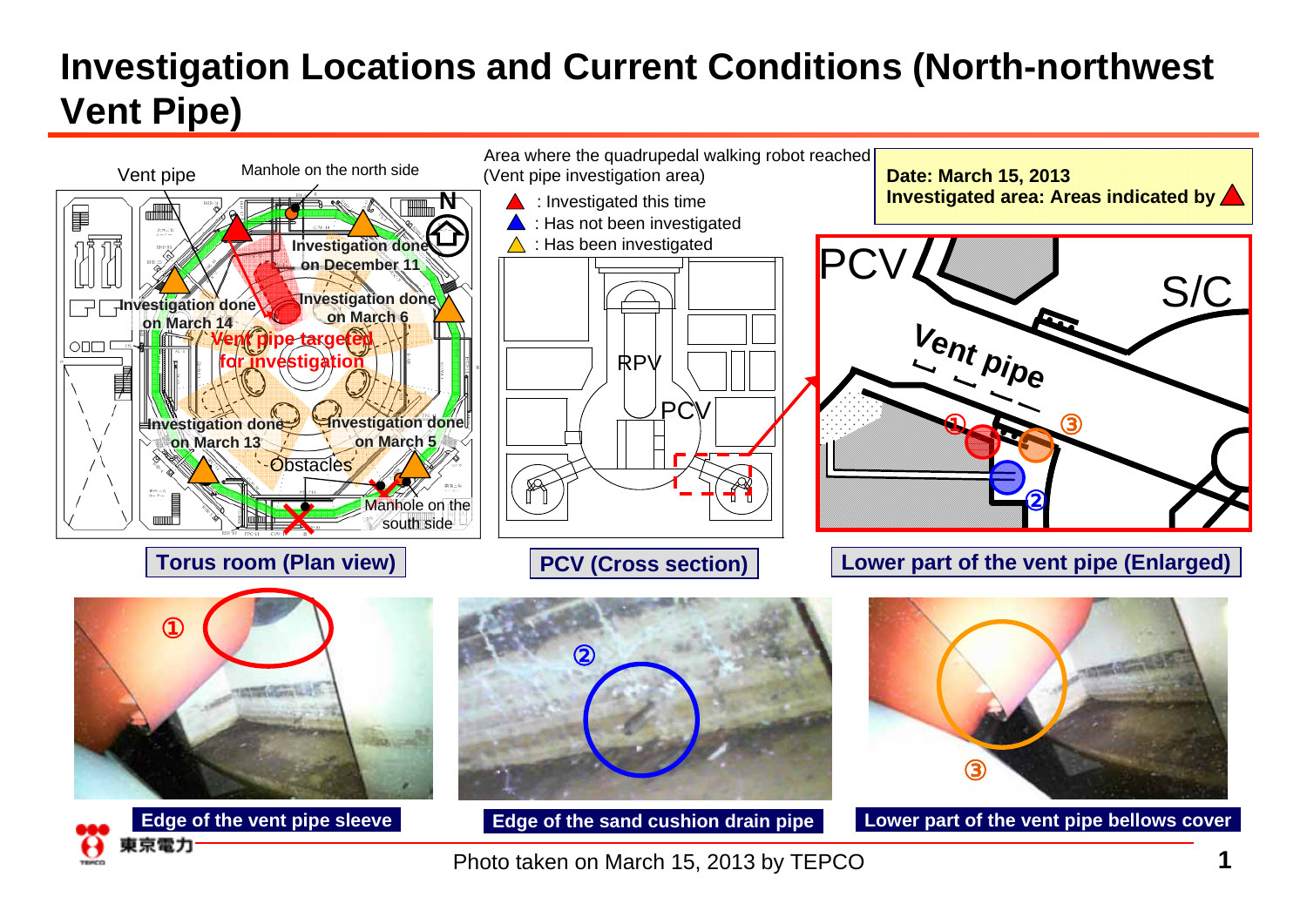#### **Investigation Locations and Current Conditions (North-northwest Vent Pipe)**



Photo taken on March 15, 2013 by TEPCO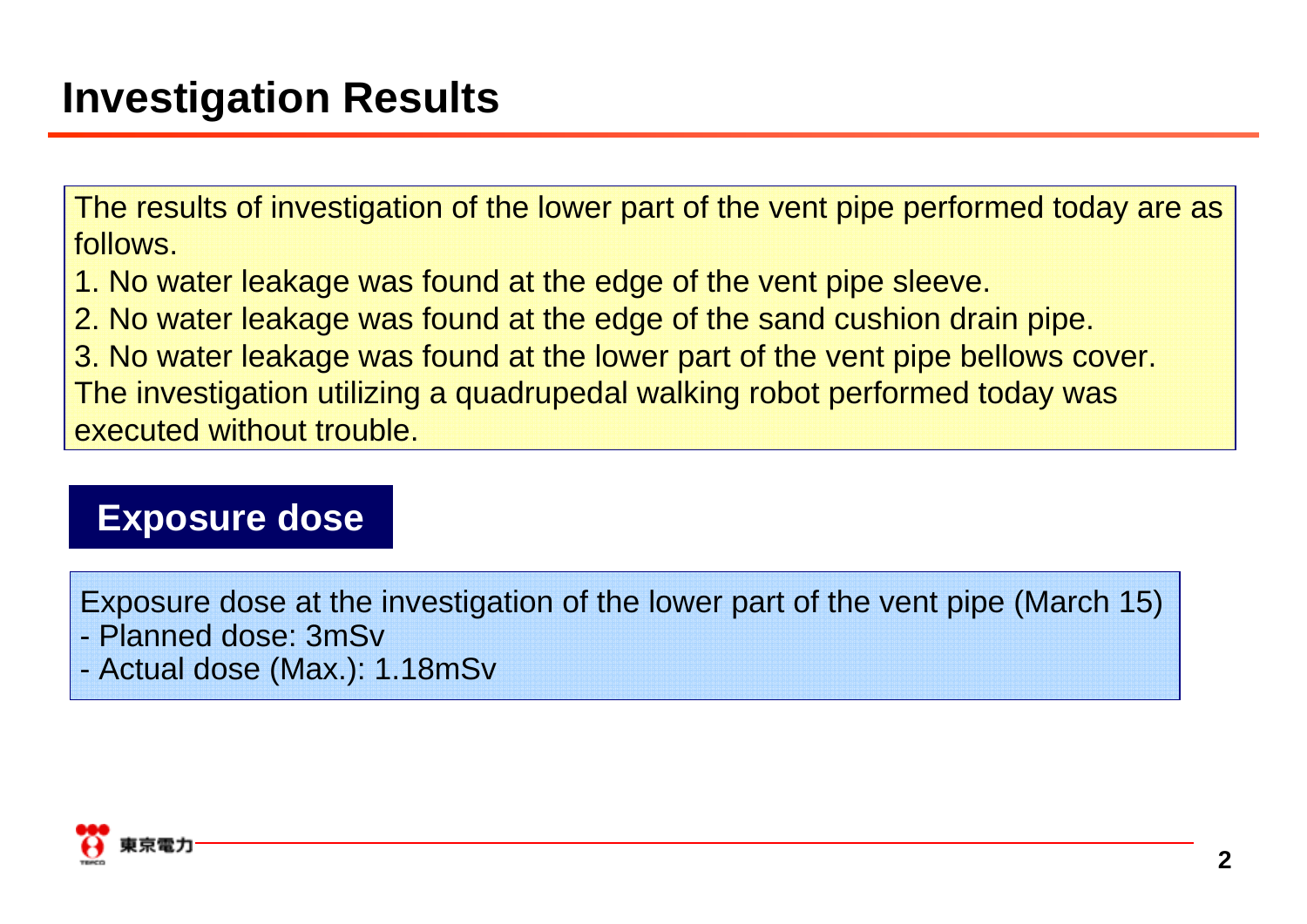The results of investigation of the lower part of the vent pipe performed today are as follows.

- 1. No water leakage was found at the edge of the vent pipe sleeve.
- 2. No water leakage was found at the edge of the sand cushion drain pipe.
- 3. No water leakage was found at the lower part of the vent pipe bellows cover. The investigation utilizing a quadrupedal walking robot performed today was executed without trouble.

#### **Exposure dose**

Exposure dose at the investigation of the lower part of the vent pipe (March 15) - Planned dose: 3mSv

-Actual dose (Max.): 1.18mSv